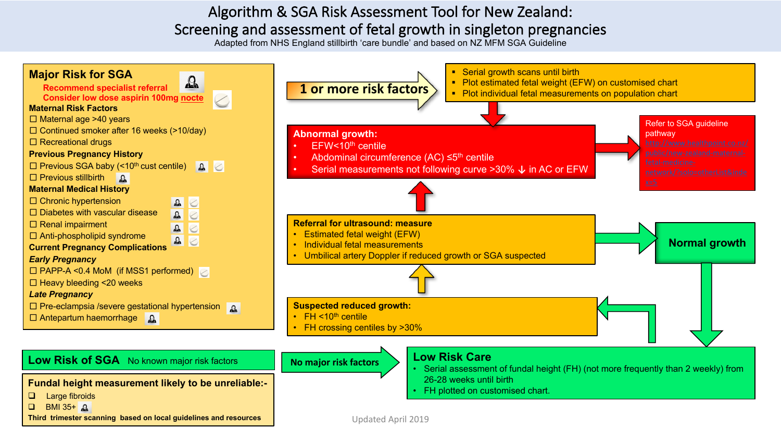## Algorithm & SGA Risk Assessment Tool for New Zealand: Screening and assessment of fetal growth in singleton pregnancies

Adapted from NHS England stillbirth 'care bundle' and based on NZ MFM SGA Guideline